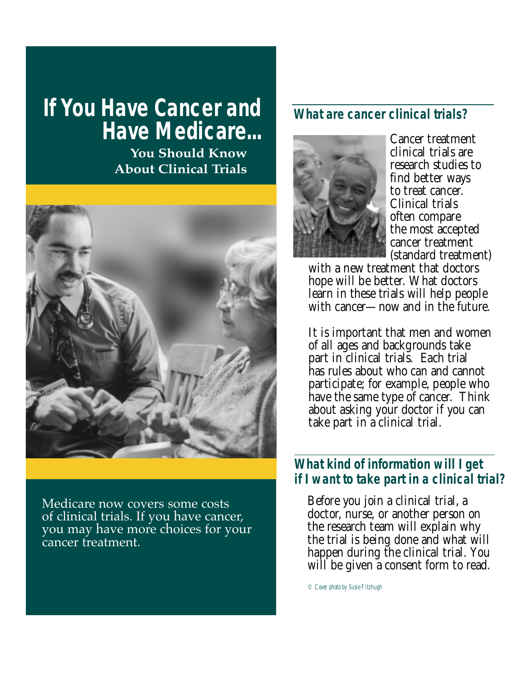# **If You Have Cancer and Have Medicare...**

**You Should Know About Clinical Trials**



Medicare now covers some costs of clinical trials. If you have cancer, you may have more choices for your cancer treatment.

# **What are cancer clinical trials?**



Cancer treatment clinical trials are research studies to find better ways to treat cancer. Clinical trials often compare the most accepted cancer treatment (standard treatment)

with a new treatment that doctors hope will be better. What doctors learn in these trials will help people with cancer—now and in the future.

It is important that men and women of all ages and backgrounds take part in clinical trials. Each trial has rules about who can and cannot participate; for example, people who have the same type of cancer. Think about asking your doctor if you can take part in a clinical trial.

#### **What kind of information will I get if I want to take part in a clinical trial?**

Before you join a clinical trial, a doctor, nurse, or another person on the research team will explain why the trial is being done and what will happen during the clinical trial. You will be given a consent form to read.

*© Cover photo by Susie Fitzhugh*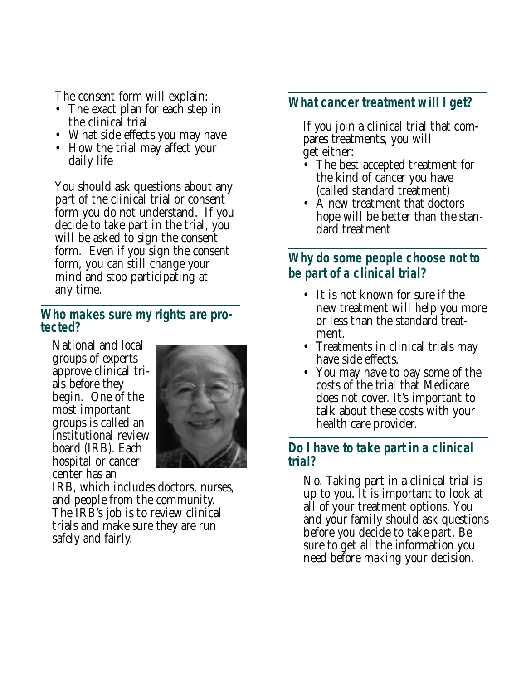The consent form will explain:

- The exact plan for each step in the clinical trial
- What side effects you may have
- How the trial may affect your daily life

You should ask questions about any part of the clinical trial or consent form you do not understand. If you decide to take part in the trial, you will be asked to sign the consent form. Even if you sign the consent form, you can still change your mind and stop participating at any time.

#### **Who makes sure my rights are protected?**

National and local groups of experts approve clinical trials before they begin. One of the most important groups is called an institutional review board (IRB). Each hospital or cancer center has an



IRB, which includes doctors, nurses, and people from the community. The IRB's job is to review clinical trials and make sure they are run safely and fairly.

## **What cancer treatment will I get?**

If you join a clinical trial that compares treatments, you will get either:

- The best accepted treatment for the kind of cancer you have (called standard treatment)
- A new treatment that doctors hope will be better than the standard treatment

## **Why do some people choose not to be part of a clinical trial?**

- It is not known for sure if the new treatment will help you more or less than the standard treatment.
- Treatments in clinical trials may have side effects.
- You may have to pay some of the costs of the trial that Medicare does not cover. It's important to talk about these costs with your health care provider.

#### **Do I have to take part in a clinical trial?**

No. Taking part in a clinical trial is up to you. It is important to look at all of your treatment options. You and your family should ask questions before you decide to take part. Be sure to get all the information you need before making your decision.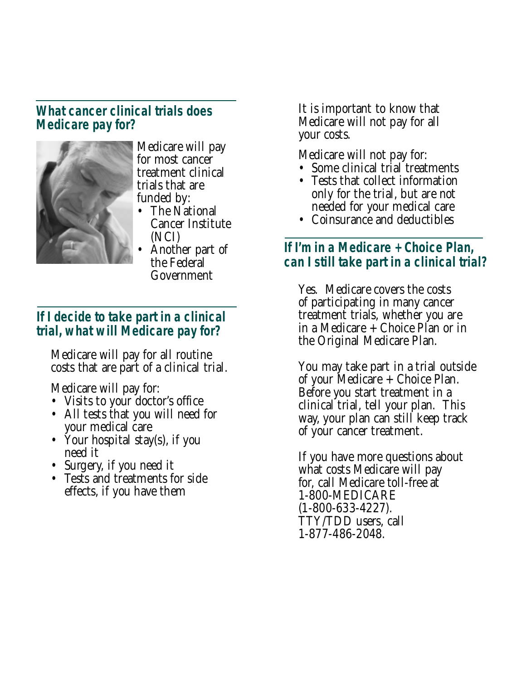## **What cancer clinical trials does Medicare pay for?**



Medicare will pay for most cancer treatment clinical trials that are funded by:

- The National Cancer Institute (NCI)
- Another part of the Federal Government

## **If I decide to take part in a clinical trial, what will Medicare pay for?**

Medicare will pay for all routine costs that are part of a clinical trial.

Medicare will pay for:

- Visits to your doctor's office
- All tests that you will need for your medical care
- Your hospital stay(s), if you need it
- Surgery, if you need it
- Tests and treatments for side effects, if you have them

It is important to know that Medicare will not pay for all your costs.

Medicare will not pay for:

- Some clinical trial treatments
- Tests that collect information only for the trial, but are not needed for your medical care
- Coinsurance and deductibles

# **If I'm in a Medicare + Choice Plan, can I still take part in a clinical trial?**

Yes. Medicare covers the costs of participating in many cancer treatment trials, whether you are in a Medicare + Choice Plan or in the Original Medicare Plan.

You may take part in a trial outside of your Medicare + Choice Plan. Before you start treatment in a clinical trial, tell your plan. This way, your plan can still keep track of your cancer treatment.

If you have more questions about what costs Medicare will pay for, call Medicare toll-free at 1-800-MEDICARE (1-800-633-4227). TTY/TDD users, call 1-877-486-2048.